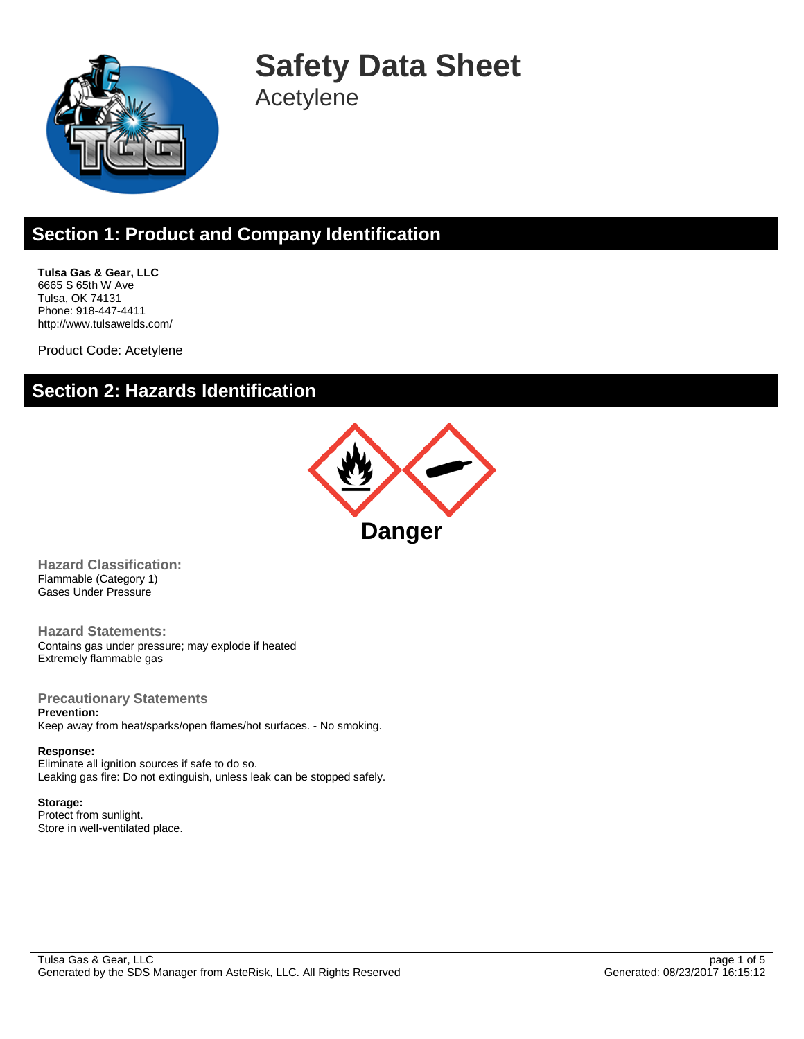

**Safety Data Sheet** Acetylene

# **Section 1: Product and Company Identification**

**Tulsa Gas & Gear, LLC** 6665 S 65th W Ave Tulsa, OK 74131 Phone: 918-447-4411 http://www.tulsawelds.com/

Product Code: Acetylene

### **Section 2: Hazards Identification**



**Hazard Classification:** Flammable (Category 1) Gases Under Pressure

**Hazard Statements:** Contains gas under pressure; may explode if heated Extremely flammable gas

**Precautionary Statements Prevention:**

Keep away from heat/sparks/open flames/hot surfaces. - No smoking.

**Response:** Eliminate all ignition sources if safe to do so. Leaking gas fire: Do not extinguish, unless leak can be stopped safely.

**Storage:** Protect from sunlight. Store in well-ventilated place.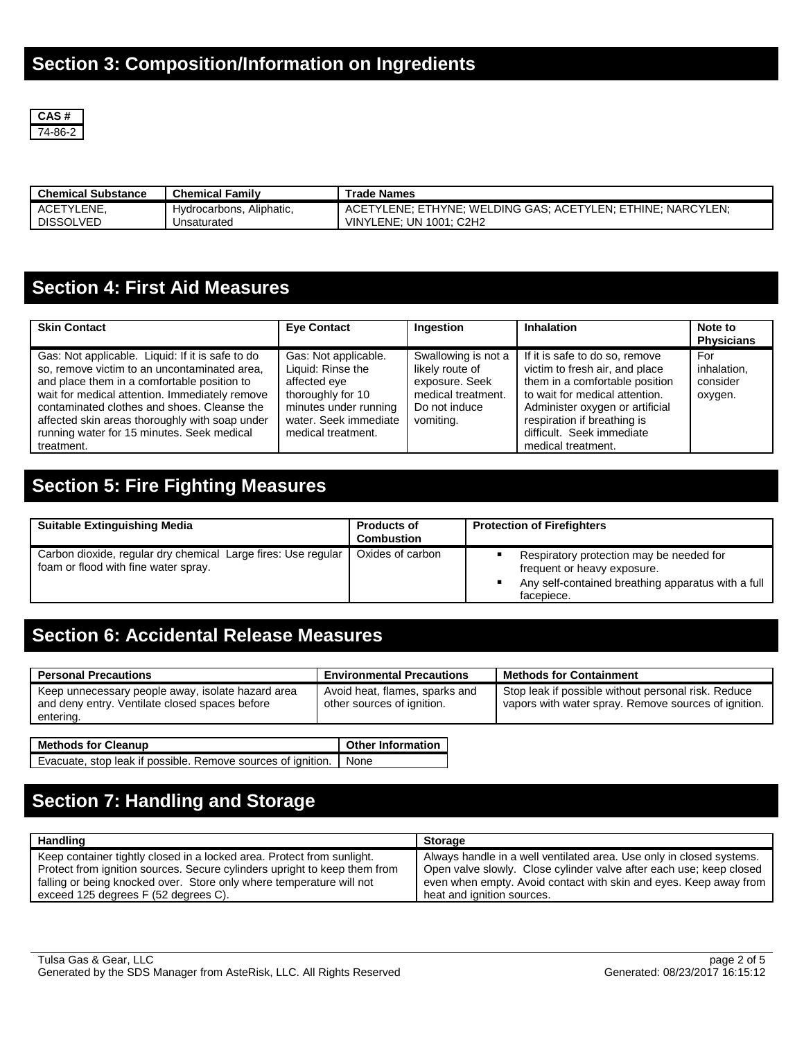

| <b>Chemical Substance</b> | <b>Chemical Family</b>   | <b>Trade Names</b>                                          |
|---------------------------|--------------------------|-------------------------------------------------------------|
| <b>ACETYLENE</b>          | Hydrocarbons, Aliphatic, | ACETYLENE; ETHYNE; WELDING GAS; ACETYLEN; ETHINE; NARCYLEN; |
| <b>DISSOLVED</b>          | Unsaturated              | <b>VINYLENE: UN 1001: C2H2</b>                              |

### **Section 4: First Aid Measures**

| <b>Skin Contact</b>                                                                                                                                                                                                                                                                                                                                            | <b>Eye Contact</b>                                                                                                                                     | Ingestion                                                                                                    | <b>Inhalation</b>                                                                                                                                                                                                                                         | Note to<br><b>Physicians</b>              |
|----------------------------------------------------------------------------------------------------------------------------------------------------------------------------------------------------------------------------------------------------------------------------------------------------------------------------------------------------------------|--------------------------------------------------------------------------------------------------------------------------------------------------------|--------------------------------------------------------------------------------------------------------------|-----------------------------------------------------------------------------------------------------------------------------------------------------------------------------------------------------------------------------------------------------------|-------------------------------------------|
| Gas: Not applicable. Liquid: If it is safe to do<br>so, remove victim to an uncontaminated area,<br>and place them in a comfortable position to<br>wait for medical attention. Immediately remove<br>contaminated clothes and shoes. Cleanse the<br>affected skin areas thoroughly with soap under<br>running water for 15 minutes. Seek medical<br>treatment. | Gas: Not applicable.<br>Liquid: Rinse the<br>affected eve<br>thoroughly for 10<br>minutes under running<br>water. Seek immediate<br>medical treatment. | Swallowing is not a<br>likely route of<br>exposure. Seek<br>medical treatment.<br>Do not induce<br>vomiting. | If it is safe to do so, remove<br>victim to fresh air, and place<br>them in a comfortable position<br>to wait for medical attention.<br>Administer oxygen or artificial<br>respiration if breathing is<br>difficult. Seek immediate<br>medical treatment. | For<br>inhalation.<br>consider<br>oxygen. |

# **Section 5: Fire Fighting Measures**

| <b>Suitable Extinguishing Media</b>                                                                   | <b>Products of</b><br><b>Combustion</b> | <b>Protection of Firefighters</b>                                                                                                           |
|-------------------------------------------------------------------------------------------------------|-----------------------------------------|---------------------------------------------------------------------------------------------------------------------------------------------|
| Carbon dioxide, regular dry chemical Large fires: Use regular<br>foam or flood with fine water spray. | Oxides of carbon                        | Respiratory protection may be needed for<br>frequent or heavy exposure.<br>Any self-contained breathing apparatus with a full<br>facepiece. |

### **Section 6: Accidental Release Measures**

| <b>Personal Precautions</b>                                                                                      | <b>Environmental Precautions</b>                             | <b>Methods for Containment</b>                                                                              |
|------------------------------------------------------------------------------------------------------------------|--------------------------------------------------------------|-------------------------------------------------------------------------------------------------------------|
| Keep unnecessary people away, isolate hazard area<br>and deny entry. Ventilate closed spaces before<br>entering. | Avoid heat, flames, sparks and<br>other sources of ignition. | Stop leak if possible without personal risk. Reduce<br>vapors with water spray. Remove sources of ignition. |
| <b>Methods for Cleanup</b>                                                                                       | <b>Other Information</b>                                     |                                                                                                             |
| Evacuate, stop leak if possible. Remove sources of ignition.                                                     | None                                                         |                                                                                                             |

# **Section 7: Handling and Storage**

| Handling                                                                  | <b>Storage</b>                                                       |
|---------------------------------------------------------------------------|----------------------------------------------------------------------|
| Keep container tightly closed in a locked area. Protect from sunlight.    | Always handle in a well ventilated area. Use only in closed systems. |
| Protect from ignition sources. Secure cylinders upright to keep them from | Open valve slowly. Close cylinder valve after each use; keep closed  |
| falling or being knocked over. Store only where temperature will not      | even when empty. Avoid contact with skin and eyes. Keep away from    |
| exceed 125 degrees F (52 degrees C).                                      | heat and ignition sources.                                           |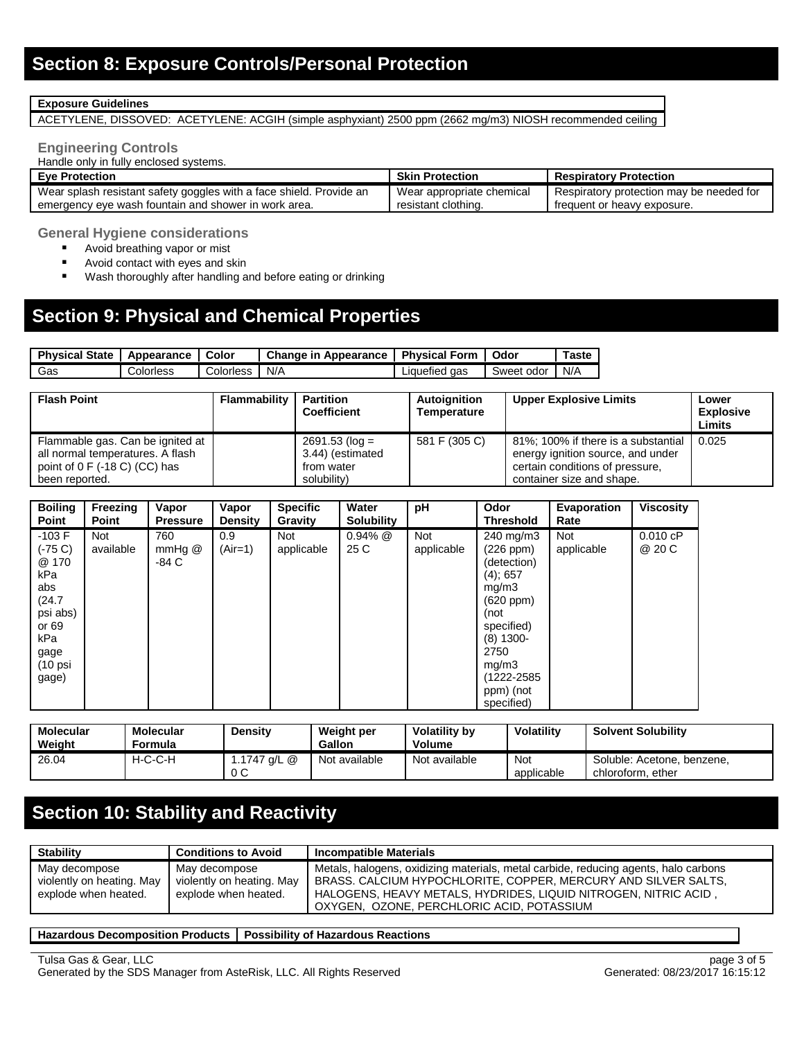#### **Exposure Guidelines**

ACETYLENE, DISSOVED: ACETYLENE: ACGIH (simple asphyxiant) 2500 ppm (2662 mg/m3) NIOSH recommended ceiling

#### **Engineering Controls**

Handle only in fully enclosed systems.

| <b>Eve Protection</b>                                               | <b>Skin Protection</b>    | <b>Respiratory Protection</b>            |
|---------------------------------------------------------------------|---------------------------|------------------------------------------|
| Wear splash resistant safety goggles with a face shield. Provide an | Wear appropriate chemical | Respiratory protection may be needed for |
| emergency eye wash fountain and shower in work area.                | resistant clothing.       | frequent or heavy exposure.              |

**General Hygiene considerations**

- **Avoid breathing vapor or mist**
- Avoid contact with eyes and skin
- **Wash thoroughly after handling and before eating or drinking**

# **Section 9: Physical and Chemical Properties**

| <b>Physical State</b> | Appearance | Color     | Change in Appearance   Physical Form |               | Odor       | `aste |
|-----------------------|------------|-----------|--------------------------------------|---------------|------------|-------|
| Gas                   | Colorless  | ∴olorless | N/A                                  | ∟iquefied qas | Sweet odor | N/A   |

| <b>Flash Point</b>                                                                                                                | <b>Flammability</b> | <b>Partition</b><br><b>Coefficient</b>                            | Autoignition<br>Temperature | <b>Upper Explosive Limits</b>                                                                                                            | Lower<br><b>Explosive</b><br>Limits |
|-----------------------------------------------------------------------------------------------------------------------------------|---------------------|-------------------------------------------------------------------|-----------------------------|------------------------------------------------------------------------------------------------------------------------------------------|-------------------------------------|
| Flammable gas. Can be ignited at<br>all normal temperatures. A flash<br>point of $0 \text{ F}$ (-18 C) (CC) has<br>been reported. |                     | $2691.53$ (log =<br>3.44) (estimated<br>from water<br>solubility) | 581 F (305 C)               | 81%; 100% if there is a substantial<br>energy ignition source, and under<br>certain conditions of pressure.<br>container size and shape. | 0.025                               |

| <b>Boiling</b><br>Point                                                                                                 | Freezing<br><b>Point</b> | Vapor<br><b>Pressure</b> | Vapor<br><b>Density</b> | <b>Specific</b><br>Gravity | Water<br><b>Solubility</b> | рH                | Odor<br><b>Threshold</b>                                                                                                                                                  | Evaporation<br>Rate | <b>Viscosity</b>   |
|-------------------------------------------------------------------------------------------------------------------------|--------------------------|--------------------------|-------------------------|----------------------------|----------------------------|-------------------|---------------------------------------------------------------------------------------------------------------------------------------------------------------------------|---------------------|--------------------|
| $-103 F$<br>(-75 C)<br>@ 170<br>kPa<br>abs<br>(24.7)<br>psi abs)<br>or 69<br>kPa<br>gage<br>$(10 \text{ psi})$<br>gage) | <b>Not</b><br>available  | 760<br>$mmHg$ @<br>-84 C | 0.9<br>$(Air=1)$        | <b>Not</b><br>applicable   | $0.94\%$ @<br>25 C         | Not<br>applicable | 240 mg/m3<br>(226 ppm)<br>(detection)<br>$(4)$ ; 657<br>mg/m3<br>(620 ppm)<br>(not<br>specified)<br>$(8)$ 1300-<br>2750<br>mg/m3<br>(1222-2585<br>ppm) (not<br>specified) | Not<br>applicable   | 0.010 cP<br>@ 20 C |

| Molecular<br>Weight | <b>Molecular</b><br>Formula | <b>Density</b>     | Weight per<br><b>Gallon</b> | <b>Volatility by</b><br>Volume | Volatility        | <b>Solvent Solubility</b>                       |
|---------------------|-----------------------------|--------------------|-----------------------------|--------------------------------|-------------------|-------------------------------------------------|
| 26.04               | H-C-C-H                     | 1.1747 a/L @<br>0C | Not available               | Not available                  | Not<br>applicable | Soluble: Acetone, benzene,<br>chloroform, ether |

# **Section 10: Stability and Reactivity**

| <b>Stability</b>                                                   | <b>Conditions to Avoid</b>                                         | <b>Incompatible Materials</b>                                                                                                                                                                                                                                         |
|--------------------------------------------------------------------|--------------------------------------------------------------------|-----------------------------------------------------------------------------------------------------------------------------------------------------------------------------------------------------------------------------------------------------------------------|
| May decompose<br>violently on heating. May<br>explode when heated. | May decompose<br>violently on heating. May<br>explode when heated. | Metals, halogens, oxidizing materials, metal carbide, reducing agents, halo carbons<br>BRASS. CALCIUM HYPOCHLORITE, COPPER, MERCURY AND SILVER SALTS.<br>HALOGENS, HEAVY METALS, HYDRIDES, LIQUID NITROGEN, NITRIC ACID,<br>OXYGEN, OZONE, PERCHLORIC ACID, POTASSIUM |

#### **Hazardous Decomposition Products Possibility of Hazardous Reactions**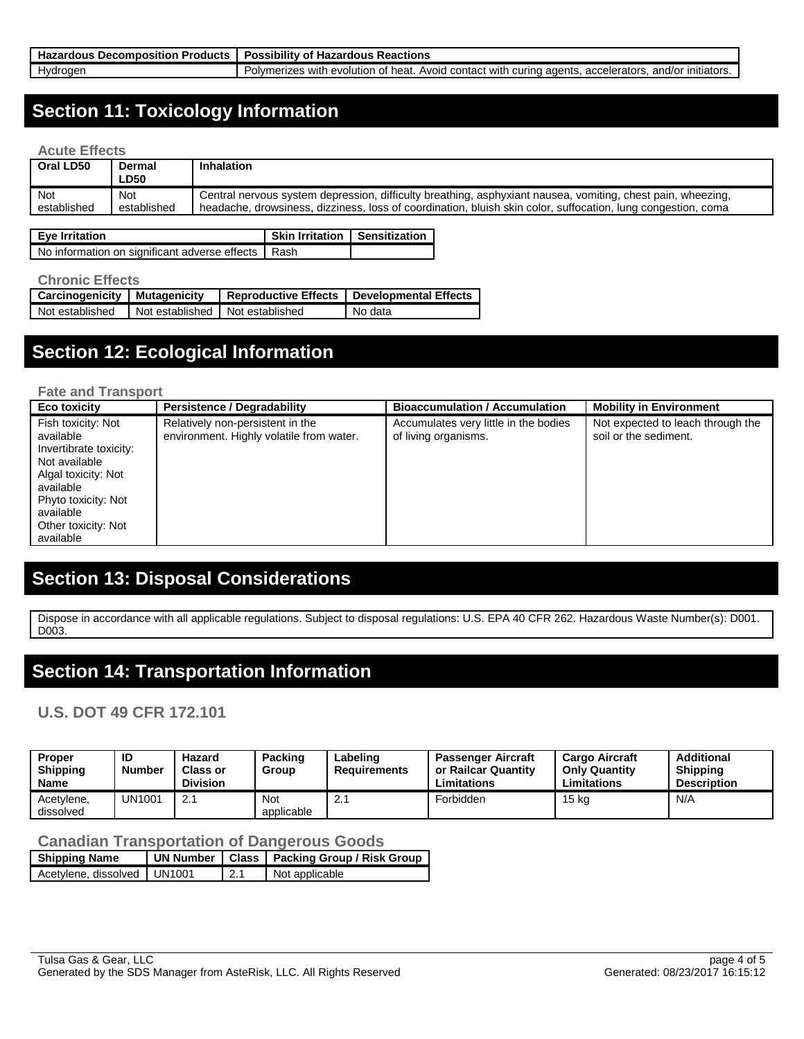| <b>Products</b><br>Hazardous<br>: Decomnosition | Reactions<br>. Possibility<br>∵ Hazardous .<br>ωı                                                                                           |
|-------------------------------------------------|---------------------------------------------------------------------------------------------------------------------------------------------|
| Hvdroaen                                        | . accelerators<br>and/or<br>∵ initiators.<br>curing agents.<br>Avoid<br>∵heat<br>J contact with<br>Polymerizes.<br>with<br>i evolution of 1 |

### **Section 11: Toxicology Information**

#### **Acute Effects**

| Oral LD50   | Dermal<br><b>LD50</b> | <b>Inhalation</b>                                                                                            |
|-------------|-----------------------|--------------------------------------------------------------------------------------------------------------|
| Not         | <b>Not</b>            | Central nervous system depression, difficulty breathing, asphyxiant nausea, vomiting, chest pain, wheezing,  |
| established | established           | headache, drowsiness, dizziness, loss of coordination, bluish skin color, suffocation, lung congestion, coma |

| <b>Eye Irritation</b>                                | Skin Irritation   Sensitization |  |
|------------------------------------------------------|---------------------------------|--|
| No information on significant adverse effects   Rash |                                 |  |

#### **Chronic Effects**

| <b>Carcinogenicity   Mutagenicity</b>               |  |  | Reproductive Effects   Developmental Effects |  |  |  |
|-----------------------------------------------------|--|--|----------------------------------------------|--|--|--|
| Not established I Not established I Not established |  |  | No data                                      |  |  |  |

### **Section 12: Ecological Information**

#### **Fate and Transport**

| Eco toxicity                                                                                                                                                                           | <b>Persistence / Degradability</b>                                           | <b>Bioaccumulation / Accumulation</b>                         | <b>Mobility in Environment</b>                             |
|----------------------------------------------------------------------------------------------------------------------------------------------------------------------------------------|------------------------------------------------------------------------------|---------------------------------------------------------------|------------------------------------------------------------|
| Fish toxicity: Not<br>available<br>Invertibrate toxicity:<br>Not available<br>Algal toxicity: Not<br>available<br>Phyto toxicity: Not<br>available<br>Other toxicity: Not<br>available | Relatively non-persistent in the<br>environment. Highly volatile from water. | Accumulates very little in the bodies<br>of living organisms. | Not expected to leach through the<br>soil or the sediment. |

# **Section 13: Disposal Considerations**

Dispose in accordance with all applicable regulations. Subject to disposal regulations: U.S. EPA 40 CFR 262. Hazardous Waste Number(s): D001. D<sub>003</sub>.

### **Section 14: Transportation Information**

### **U.S. DOT 49 CFR 172.101**

| <b>Proper</b><br><b>Shipping</b><br>Name | ID<br><b>Number</b> | Hazard<br><b>Class or</b><br><b>Division</b> | Packing<br>Group  | Labeling<br><b>Requirements</b> | <b>Passenger Aircraft</b><br>or Railcar Quantity<br>Limitations | <b>Cargo Aircraft</b><br><b>Only Quantity</b><br>Limitations | <b>Additional</b><br><b>Shipping</b><br><b>Description</b> |
|------------------------------------------|---------------------|----------------------------------------------|-------------------|---------------------------------|-----------------------------------------------------------------|--------------------------------------------------------------|------------------------------------------------------------|
| Acetylene,<br>dissolved                  | UN1001              | 2.1                                          | Not<br>applicable |                                 | Forbidden                                                       | 15 kg                                                        | N/A                                                        |

#### **Canadian Transportation of Dangerous Goods**

| <b>Shipping Name</b>          |     | UN Number   Class   Packing Group / Risk Group |
|-------------------------------|-----|------------------------------------------------|
| Acetylene, dissolved   UN1001 | 2.1 | Not applicable                                 |